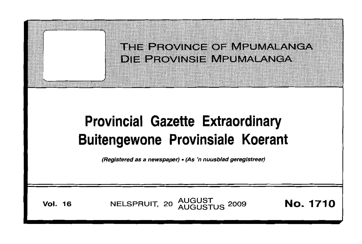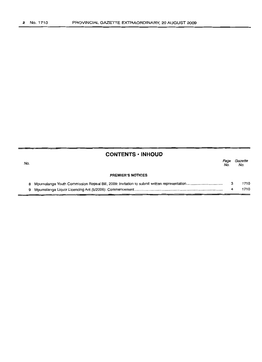# **CONTENTS • INHOUD**

|   | ey v          |
|---|---------------|
| ٠ | ۰,<br>-<br>۰, |

Page Gazette No. No.

#### **PREMIER'S NOTICES**

|  | 1710 |
|--|------|
|  | 1710 |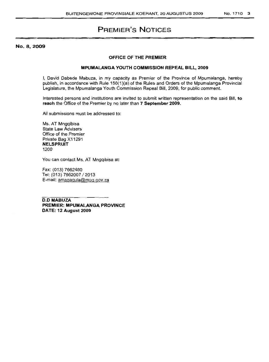# **PREMIER'S NOTICES**

No. 8,2009

### **OFFICE OF THE PREMIER**

#### **MPUMALANGA YOUTH COMMISSION REPEAL BILL, 2009**

I, David Dabede Mabuza, in my capacity as Premier of the Province of Mpumalanga. hereby publish, in accordance with Rule 150(1 )(a) of the Rules and Orders of the Mpumalanga Provincial Legislature, the Mpumalanga Youth Commission Repeal Bill, 2009, for public comment.

Interested persons and institutions are invited to submit written representation on the said Bill, **to reach** the Office of the Premier by no later than **7 September 2009.**

All submissions must be addressed to:

Ms. AT Mngqibisa State Law Advisers Office of the Premier Private Bag X11291 **NELSPRUIT** 1200

You can contact Ms. AT Mngqibisa at:

Fax: (013) 7662480 Tel: (013) 7662007/2013 E-mail: amagagula@mpg.gov.za

**D.D MABUZA PREMIER: MPUMALANGA PROVINCE DATE: 12 August 2009**